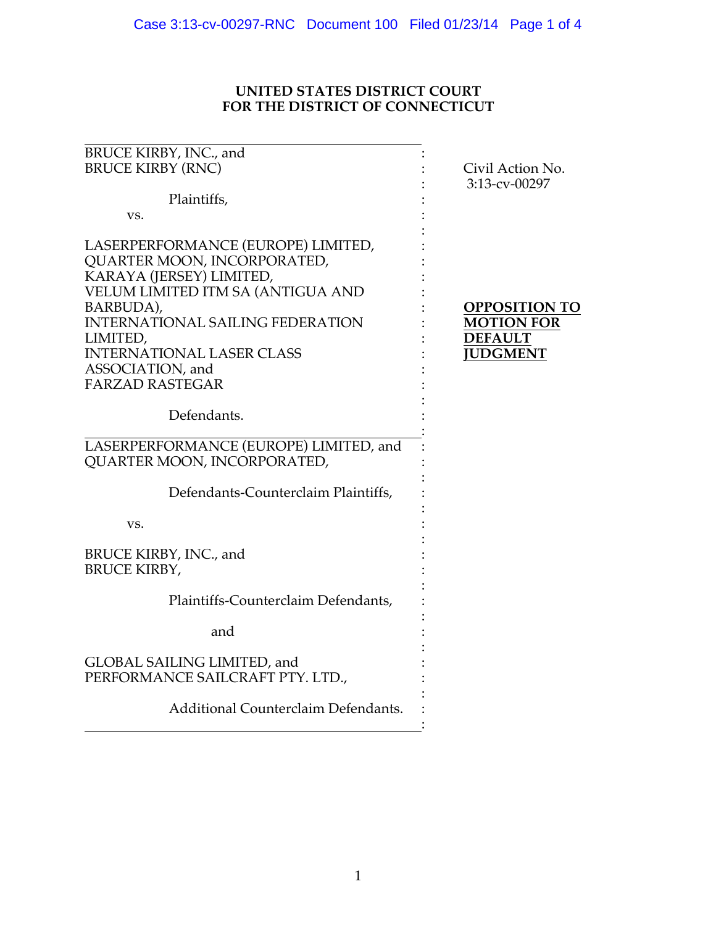## **UNITED STATES DISTRICT COURT FOR THE DISTRICT OF CONNECTICUT**

| BRUCE KIRBY, INC., and<br><b>BRUCE KIRBY (RNC)</b>                                                                                                                                                                                                                                       | Civil Action No.<br>3:13-cv-00297                                              |
|------------------------------------------------------------------------------------------------------------------------------------------------------------------------------------------------------------------------------------------------------------------------------------------|--------------------------------------------------------------------------------|
| Plaintiffs,                                                                                                                                                                                                                                                                              |                                                                                |
| VS.                                                                                                                                                                                                                                                                                      |                                                                                |
| LASERPERFORMANCE (EUROPE) LIMITED,<br>QUARTER MOON, INCORPORATED,<br>KARAYA (JERSEY) LIMITED,<br>VELUM LIMITED ITM SA (ANTIGUA AND<br>BARBUDA),<br><b>INTERNATIONAL SAILING FEDERATION</b><br>LIMITED,<br><b>INTERNATIONAL LASER CLASS</b><br>ASSOCIATION, and<br><b>FARZAD RASTEGAR</b> | <b>OPPOSITION TO</b><br><b>MOTION FOR</b><br><b>DEFAULT</b><br><b>JUDGMENT</b> |
| Defendants.                                                                                                                                                                                                                                                                              |                                                                                |
| LASERPERFORMANCE (EUROPE) LIMITED, and<br>QUARTER MOON, INCORPORATED,                                                                                                                                                                                                                    |                                                                                |
| Defendants-Counterclaim Plaintiffs,                                                                                                                                                                                                                                                      |                                                                                |
| VS.                                                                                                                                                                                                                                                                                      |                                                                                |
| BRUCE KIRBY, INC., and<br><b>BRUCE KIRBY,</b>                                                                                                                                                                                                                                            |                                                                                |
| Plaintiffs-Counterclaim Defendants,                                                                                                                                                                                                                                                      |                                                                                |
| and                                                                                                                                                                                                                                                                                      |                                                                                |
| GLOBAL SAILING LIMITED, and<br>PERFORMANCE SAILCRAFT PTY. LTD.,                                                                                                                                                                                                                          |                                                                                |
| Additional Counterclaim Defendants.                                                                                                                                                                                                                                                      |                                                                                |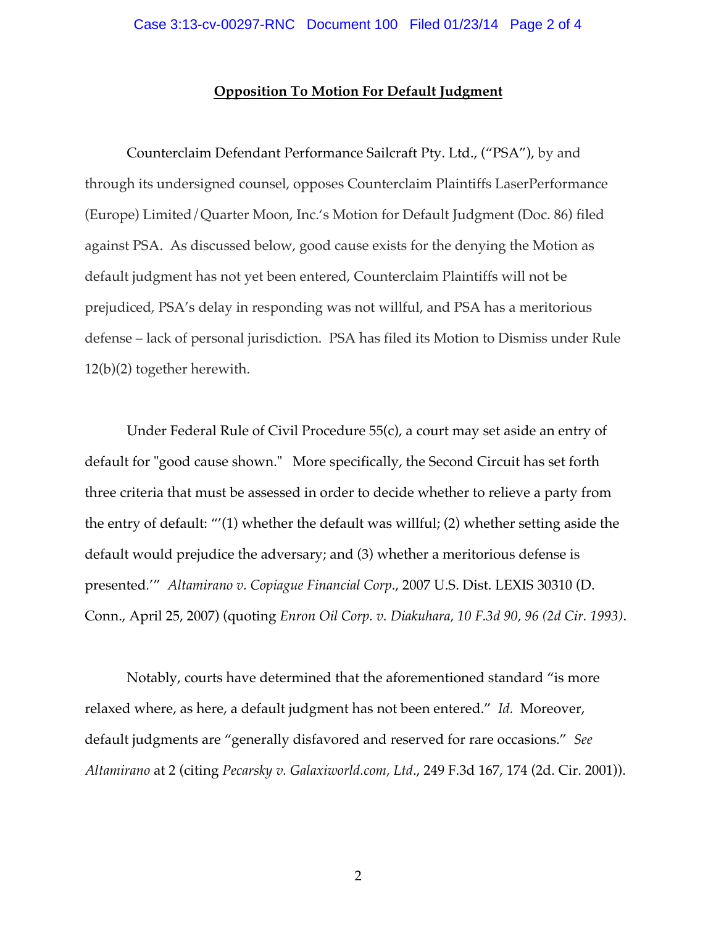#### **Opposition To Motion For Default Judgment**

Counterclaim Defendant Performance Sailcraft Pty. Ltd., ("PSA"), by and through its undersigned counsel, opposes Counterclaim Plaintiffs LaserPerformance (Europe) Limited/Quarter Moon, Inc.'s Motion for Default Judgment (Doc. 86) filed against PSA. As discussed below, good cause exists for the denying the Motion as default judgment has not yet been entered, Counterclaim Plaintiffs will not be prejudiced, PSA's delay in responding was not willful, and PSA has a meritorious defense – lack of personal jurisdiction. PSA has filed its Motion to Dismiss under Rule 12(b)(2) together herewith.

Under Federal Rule of Civil Procedure 55(c), a court may set aside an entry of default for "good cause shown." More specifically, the Second Circuit has set forth three criteria that must be assessed in order to decide whether to relieve a party from the entry of default: "'(1) whether the default was willful; (2) whether setting aside the default would prejudice the adversary; and (3) whether a meritorious defense is presented*.*'" *Altamirano v. Copiague Financial Corp*., 2007 U.S. Dist. LEXIS 30310 (D. Conn., April 25, 2007) (quoting *Enron Oil Corp. v. Diakuhara, 10 F.3d 90, 96 (2d Cir. 1993)*.

Notably, courts have determined that the aforementioned standard "is more relaxed where, as here, a default judgment has not been entered." *Id.* Moreover, default judgments are "generally disfavored and reserved for rare occasions." *See Altamirano* at 2 (citing *Pecarsky v. Galaxiworld.com, Ltd*., 249 F.3d 167, 174 (2d. Cir. 2001)).

2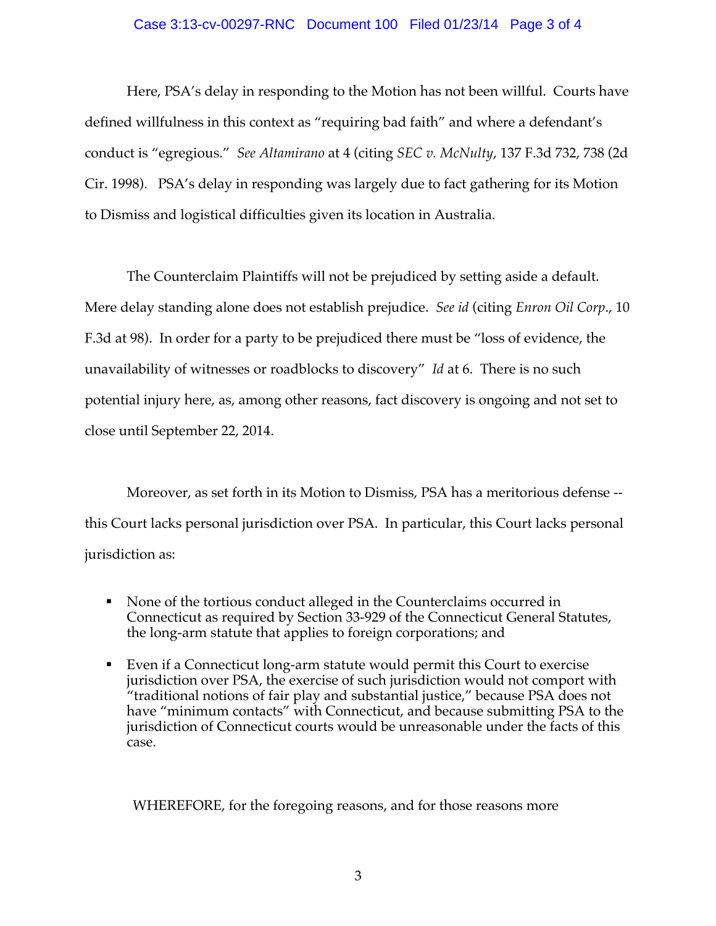#### Case 3:13-cv-00297-RNC Document 100 Filed 01/23/14 Page 3 of 4

Here, PSA's delay in responding to the Motion has not been willful. Courts have defined willfulness in this context as "requiring bad faith" and where a defendant's conduct is "egregious." *See Altamirano* at 4 (citing *SEC v. McNulty*, 137 F.3d 732, 738 (2d Cir. 1998). PSA's delay in responding was largely due to fact gathering for its Motion to Dismiss and logistical difficulties given its location in Australia.

The Counterclaim Plaintiffs will not be prejudiced by setting aside a default. Mere delay standing alone does not establish prejudice. *See id* (citing *Enron Oil Corp*., 10 F.3d at 98). In order for a party to be prejudiced there must be "loss of evidence, the unavailability of witnesses or roadblocks to discovery" *Id* at 6. There is no such potential injury here, as, among other reasons, fact discovery is ongoing and not set to close until September 22, 2014.

Moreover, as set forth in its Motion to Dismiss, PSA has a meritorious defense - this Court lacks personal jurisdiction over PSA. In particular, this Court lacks personal jurisdiction as:

- ! None of the tortious conduct alleged in the Counterclaims occurred in Connecticut as required by Section 33-929 of the Connecticut General Statutes, the long-arm statute that applies to foreign corporations; and
- ! Even if a Connecticut long-arm statute would permit this Court to exercise jurisdiction over PSA, the exercise of such jurisdiction would not comport with "traditional notions of fair play and substantial justice," because PSA does not have "minimum contacts" with Connecticut, and because submitting PSA to the jurisdiction of Connecticut courts would be unreasonable under the facts of this case.

WHEREFORE, for the foregoing reasons, and for those reasons more